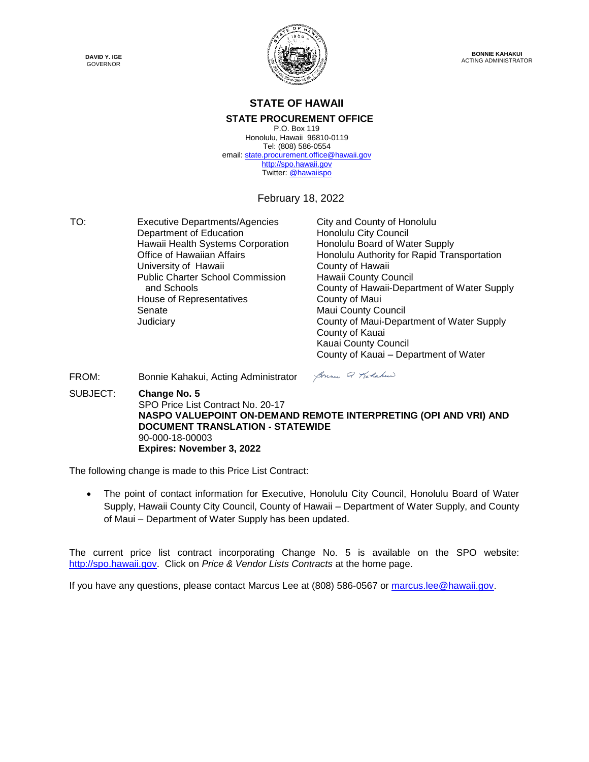**DAVID Y. IGE** GOVERNOR



#### **STATE OF HAWAII**

#### **STATE PROCUREMENT OFFICE**

P.O. Box 119 Honolulu, Hawaii 96810-0119 Tel: (808) 586-0554 email[: state.procurement.office@hawaii.gov](mailto:state.procurement.office@hawaii.gov) [http://spo.hawaii.gov](http://spo.hawaii.gov/) Twitter: [@hawaiispo](https://twitter.com/hawaiispo)

February 18, 2022

TO: Executive Departments/Agencies City and County of Honolulu<br>Department of Education Honolulu City Council Department of Education Hawaii Health Systems Corporation Honolulu Board of Water Supply University of Hawaii **County of Hawaii** Public Charter School Commission and Schools House of Representatives **County of Maui** Senate Maui County Council

Office of Hawaiian Affairs **Honolulu Authority for Rapid Transportation** Hawaii County Council County of Hawaii-Department of Water Supply Judiciary County of Maui-Department of Water Supply County of Kauai Kauai County Council County of Kauai – Department of Water

FROM: Bonnie Kahakui, Acting Administrator SUBJECT: **Change No. 5** SPO Price List Contract No. 20-17 **NASPO VALUEPOINT ON-DEMAND REMOTE INTERPRETING (OPI AND VRI) AND DOCUMENT TRANSLATION - STATEWIDE**  90-000-18-00003 **Expires: November 3, 2022**

Sonne Q Karlakee

The following change is made to this Price List Contract:

• The point of contact information for Executive, Honolulu City Council, Honolulu Board of Water Supply, Hawaii County City Council, County of Hawaii – Department of Water Supply, and County of Maui – Department of Water Supply has been updated.

The current price list contract incorporating Change No. 5 is available on the SPO website: [http://spo.hawaii.gov.](http://spo.hawaii.gov/) Click on *Price & Vendor Lists Contracts* at the home page.

If you have any questions, please contact Marcus Lee at (808) 586-0567 or [marcus.lee@hawaii.gov.](mailto:marcus.lee@hawaii.gov)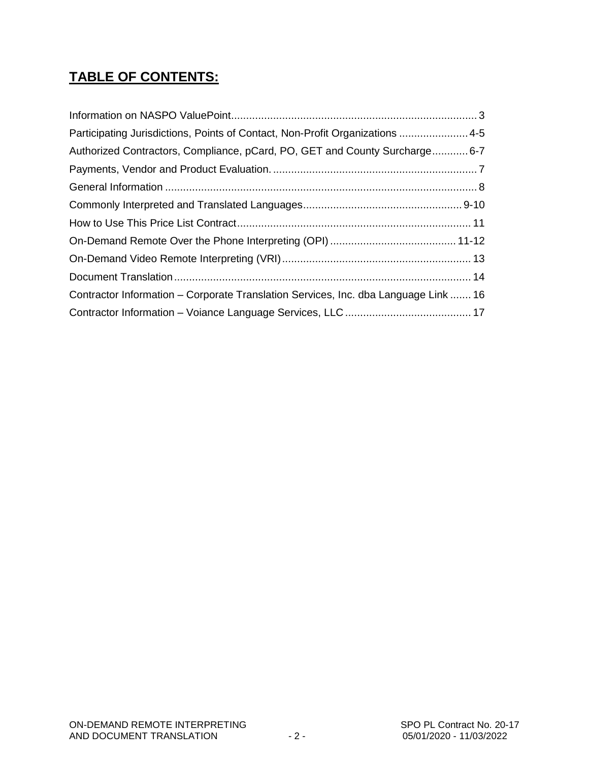# **TABLE OF CONTENTS:**

| Participating Jurisdictions, Points of Contact, Non-Profit Organizations 4-5        |  |
|-------------------------------------------------------------------------------------|--|
| Authorized Contractors, Compliance, pCard, PO, GET and County Surcharge6-7          |  |
|                                                                                     |  |
|                                                                                     |  |
|                                                                                     |  |
|                                                                                     |  |
|                                                                                     |  |
|                                                                                     |  |
|                                                                                     |  |
| Contractor Information – Corporate Translation Services, Inc. dba Language Link  16 |  |
|                                                                                     |  |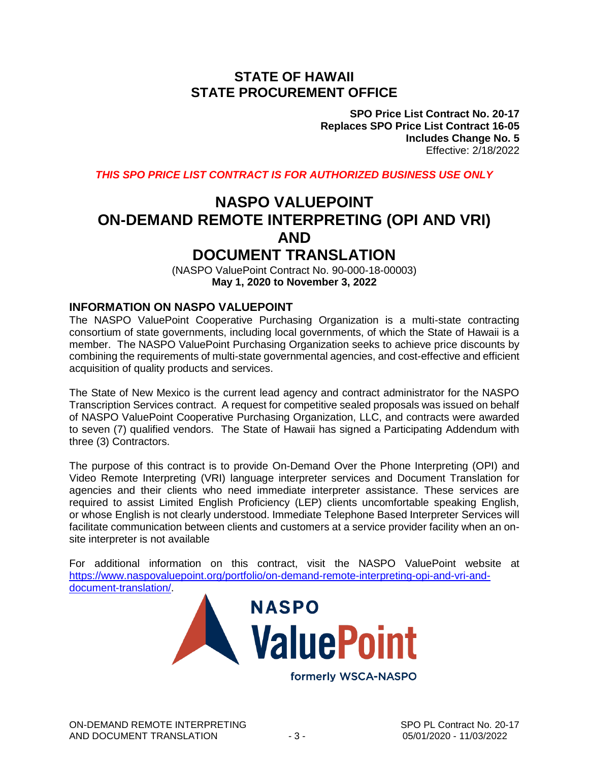## **STATE OF HAWAII STATE PROCUREMENT OFFICE**

**SPO Price List Contract No. 20-17 Replaces SPO Price List Contract 16-05 Includes Change No. 5** Effective: 2/18/2022

*THIS SPO PRICE LIST CONTRACT IS FOR AUTHORIZED BUSINESS USE ONLY*

# **NASPO VALUEPOINT ON-DEMAND REMOTE INTERPRETING (OPI AND VRI) AND DOCUMENT TRANSLATION**

(NASPO ValuePoint Contract No. 90-000-18-00003) **May 1, 2020 to November 3, 2022**

#### **INFORMATION ON NASPO VALUEPOINT**

The NASPO ValuePoint Cooperative Purchasing Organization is a multi-state contracting consortium of state governments, including local governments, of which the State of Hawaii is a member. The NASPO ValuePoint Purchasing Organization seeks to achieve price discounts by combining the requirements of multi-state governmental agencies, and cost-effective and efficient acquisition of quality products and services.

The State of New Mexico is the current lead agency and contract administrator for the NASPO Transcription Services contract. A request for competitive sealed proposals was issued on behalf of NASPO ValuePoint Cooperative Purchasing Organization, LLC, and contracts were awarded to seven (7) qualified vendors. The State of Hawaii has signed a Participating Addendum with three (3) Contractors.

The purpose of this contract is to provide On-Demand Over the Phone Interpreting (OPI) and Video Remote Interpreting (VRI) language interpreter services and Document Translation for agencies and their clients who need immediate interpreter assistance. These services are required to assist Limited English Proficiency (LEP) clients uncomfortable speaking English, or whose English is not clearly understood. Immediate Telephone Based Interpreter Services will facilitate communication between clients and customers at a service provider facility when an onsite interpreter is not available

For additional information on this contract, visit the NASPO ValuePoint website at [https://www.naspovaluepoint.org/portfolio/on-demand-remote-interpreting-opi-and-vri-and](https://www.naspovaluepoint.org/portfolio/on-demand-remote-interpreting-opi-and-vri-and-document-translation/)[document-translation/.](https://www.naspovaluepoint.org/portfolio/on-demand-remote-interpreting-opi-and-vri-and-document-translation/)

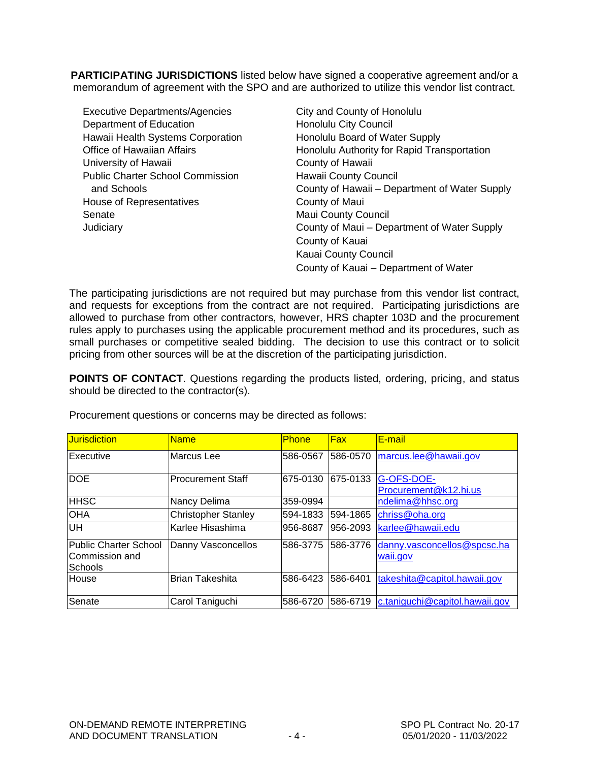**PARTICIPATING JURISDICTIONS** listed below have signed a cooperative agreement and/or a memorandum of agreement with the SPO and are authorized to utilize this vendor list contract.

| <b>Executive Departments/Agencies</b>   | City and County of Honolulu                   |
|-----------------------------------------|-----------------------------------------------|
| Department of Education                 | Honolulu City Council                         |
| Hawaii Health Systems Corporation       | Honolulu Board of Water Supply                |
| Office of Hawaiian Affairs              | Honolulu Authority for Rapid Transportation   |
| University of Hawaii                    | County of Hawaii                              |
| <b>Public Charter School Commission</b> | Hawaii County Council                         |
| and Schools                             | County of Hawaii - Department of Water Supply |
| House of Representatives                | County of Maui                                |
| Senate                                  | <b>Maui County Council</b>                    |
| Judiciary                               | County of Maui - Department of Water Supply   |
|                                         | County of Kauai                               |
|                                         | Kauai County Council                          |
|                                         | County of Kauai - Department of Water         |

The participating jurisdictions are not required but may purchase from this vendor list contract, and requests for exceptions from the contract are not required. Participating jurisdictions are allowed to purchase from other contractors, however, HRS chapter 103D and the procurement rules apply to purchases using the applicable procurement method and its procedures, such as small purchases or competitive sealed bidding. The decision to use this contract or to solicit pricing from other sources will be at the discretion of the participating jurisdiction.

**POINTS OF CONTACT**. Questions regarding the products listed, ordering, pricing, and status should be directed to the contractor(s).

| <b>Jurisdiction</b>                                | <b>Name</b>                | <b>Phone</b> | Fax      | <b>E-mail</b>                           |
|----------------------------------------------------|----------------------------|--------------|----------|-----------------------------------------|
| Executive                                          | Marcus Lee                 | 586-0567     | 586-0570 | marcus.lee@hawaii.gov                   |
| <b>DOE</b>                                         | <b>Procurement Staff</b>   | 675-0130     | 675-0133 | G-OFS-DOE-<br>Procurement@k12.hi.us     |
| <b>HHSC</b>                                        | Nancy Delima               | 359-0994     |          | ndelima@hhsc.org                        |
| OHA                                                | <b>Christopher Stanley</b> | 594-1833     | 594-1865 | chriss@oha.org                          |
| UH                                                 | Karlee Hisashima           | 956-8687     | 956-2093 | karlee@hawaii.edu                       |
| Public Charter School<br>Commission and<br>Schools | Danny Vasconcellos         | 586-3775     | 586-3776 | danny.vasconcellos@spcsc.ha<br>waii.gov |
| House                                              | <b>Brian Takeshita</b>     | 586-6423     | 586-6401 | takeshita@capitol.hawaii.gov            |
| Senate                                             | Carol Taniguchi            | 586-6720     | 586-6719 | c.taniguchi@capitol.hawaii.gov          |

Procurement questions or concerns may be directed as follows: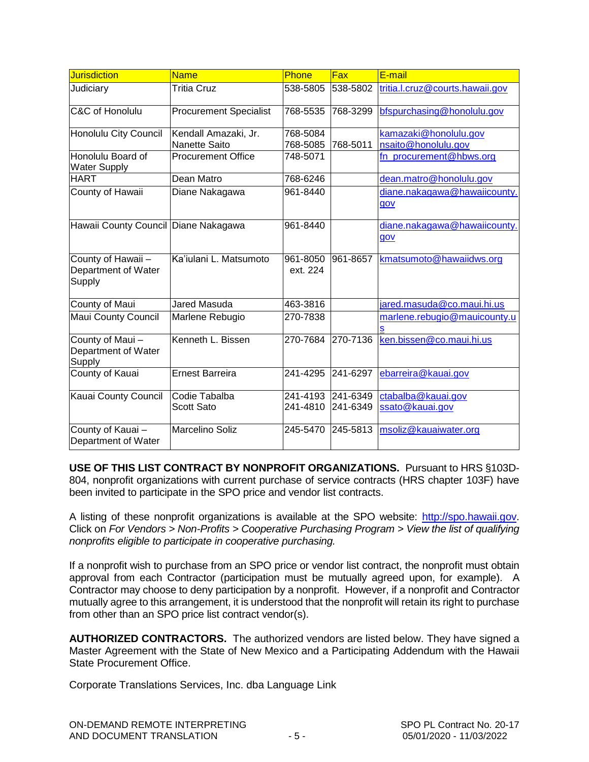| <b>Jurisdiction</b>                                 | <b>Name</b>                           | Phone                | Fax                  | E-mail                                       |
|-----------------------------------------------------|---------------------------------------|----------------------|----------------------|----------------------------------------------|
| Judiciary                                           | Tritia Cruz                           | 538-5805             | 538-5802             | tritia.l.cruz@courts.hawaii.gov              |
| C&C of Honolulu                                     | <b>Procurement Specialist</b>         | 768-5535             | 768-3299             | bfspurchasing@honolulu.gov                   |
| Honolulu City Council                               | Kendall Amazaki, Jr.<br>Nanette Saito | 768-5084<br>768-5085 | 768-5011             | kamazaki@honolulu.gov<br>nsaito@honolulu.gov |
| Honolulu Board of<br><b>Water Supply</b>            | <b>Procurement Office</b>             | 748-5071             |                      | fn_procurement@hbws.org                      |
| <b>HART</b>                                         | Dean Matro                            | 768-6246             |                      | dean.matro@honolulu.gov                      |
| County of Hawaii                                    | Diane Nakagawa                        | 961-8440             |                      | diane.nakagawa@hawaiicounty.<br>gov          |
| Hawaii County Council Diane Nakagawa                |                                       | 961-8440             |                      | diane.nakagawa@hawaiicounty.<br>gov          |
| County of Hawaii -<br>Department of Water<br>Supply | Ka'iulani L. Matsumoto                | 961-8050<br>ext. 224 | 961-8657             | kmatsumoto@hawaiidws.org                     |
| County of Maui                                      | <b>Jared Masuda</b>                   | 463-3816             |                      | jared.masuda@co.maui.hi.us                   |
| <b>Maui County Council</b>                          | Marlene Rebugio                       | 270-7838             |                      | marlene.rebugio@mauicounty.u                 |
| County of Maui-<br>Department of Water<br>Supply    | Kenneth L. Bissen                     | 270-7684             | 270-7136             | ken.bissen@co.maui.hi.us                     |
| County of Kauai                                     | <b>Ernest Barreira</b>                | 241-4295             | 241-6297             | ebarreira@kauai.gov                          |
| Kauai County Council                                | Codie Tabalba<br>Scott Sato           | 241-4193<br>241-4810 | 241-6349<br>241-6349 | ctabalba@kauai.gov<br>ssato@kauai.gov        |
| County of Kauai-<br>Department of Water             | <b>Marcelino Soliz</b>                | 245-5470             | 245-5813             | msoliz@kauaiwater.org                        |

**USE OF THIS LIST CONTRACT BY NONPROFIT ORGANIZATIONS.** Pursuant to HRS §103D-804, nonprofit organizations with current purchase of service contracts (HRS chapter 103F) have been invited to participate in the SPO price and vendor list contracts.

A listing of these nonprofit organizations is available at the SPO website: [http://spo.hawaii.gov.](http://spo.hawaii.gov/) Click on *For Vendors > Non-Profits > Cooperative Purchasing Program > View the list of qualifying nonprofits eligible to participate in cooperative purchasing.*

If a nonprofit wish to purchase from an SPO price or vendor list contract, the nonprofit must obtain approval from each Contractor (participation must be mutually agreed upon, for example). A Contractor may choose to deny participation by a nonprofit. However, if a nonprofit and Contractor mutually agree to this arrangement, it is understood that the nonprofit will retain its right to purchase from other than an SPO price list contract vendor(s).

**AUTHORIZED CONTRACTORS.** The authorized vendors are listed below. They have signed a Master Agreement with the State of New Mexico and a Participating Addendum with the Hawaii State Procurement Office.

Corporate Translations Services, Inc. dba Language Link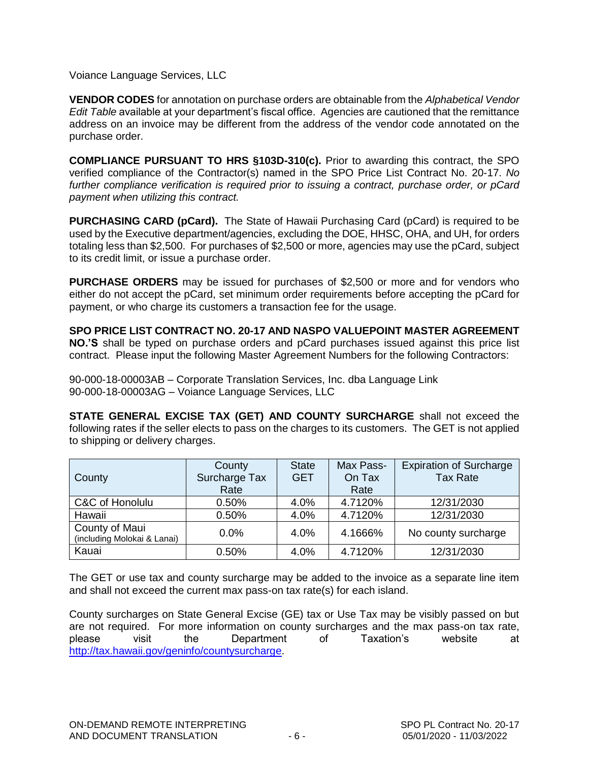Voiance Language Services, LLC

**VENDOR CODES** for annotation on purchase orders are obtainable from the *Alphabetical Vendor Edit Table* available at your department's fiscal office. Agencies are cautioned that the remittance address on an invoice may be different from the address of the vendor code annotated on the purchase order.

**COMPLIANCE PURSUANT TO HRS §103D-310(c).** Prior to awarding this contract, the SPO verified compliance of the Contractor(s) named in the SPO Price List Contract No. 20-17. *No further compliance verification is required prior to issuing a contract, purchase order, or pCard payment when utilizing this contract.*

**PURCHASING CARD (pCard).** The State of Hawaii Purchasing Card (pCard) is required to be used by the Executive department/agencies, excluding the DOE, HHSC, OHA, and UH, for orders totaling less than \$2,500. For purchases of \$2,500 or more, agencies may use the pCard, subject to its credit limit, or issue a purchase order.

**PURCHASE ORDERS** may be issued for purchases of \$2,500 or more and for vendors who either do not accept the pCard, set minimum order requirements before accepting the pCard for payment, or who charge its customers a transaction fee for the usage.

**SPO PRICE LIST CONTRACT NO. 20-17 AND NASPO VALUEPOINT MASTER AGREEMENT NO.'S** shall be typed on purchase orders and pCard purchases issued against this price list contract. Please input the following Master Agreement Numbers for the following Contractors:

90-000-18-00003AB – Corporate Translation Services, Inc. dba Language Link 90-000-18-00003AG – Voiance Language Services, LLC

**STATE GENERAL EXCISE TAX (GET) AND COUNTY SURCHARGE** shall not exceed the following rates if the seller elects to pass on the charges to its customers. The GET is not applied to shipping or delivery charges.

| County                                        | County<br>Surcharge Tax | <b>State</b><br><b>GET</b> | Max Pass-<br>On Tax | <b>Expiration of Surcharge</b><br><b>Tax Rate</b> |
|-----------------------------------------------|-------------------------|----------------------------|---------------------|---------------------------------------------------|
|                                               | Rate                    |                            | Rate                |                                                   |
| C&C of Honolulu                               | 0.50%                   | 4.0%                       | 4.7120%             | 12/31/2030                                        |
| Hawaii                                        | 0.50%                   | 4.0%                       | 4.7120%             | 12/31/2030                                        |
| County of Maui<br>(including Molokai & Lanai) | 0.0%                    | 4.0%                       | 4.1666%             | No county surcharge                               |
| Kauai                                         | 0.50%                   | 4.0%                       | 4.7120%             | 12/31/2030                                        |

The GET or use tax and county surcharge may be added to the invoice as a separate line item and shall not exceed the current max pass-on tax rate(s) for each island.

County surcharges on State General Excise (GE) tax or Use Tax may be visibly passed on but are not required. For more information on county surcharges and the max pass-on tax rate, please visit the Department of Taxation's website at [http://tax.hawaii.gov/geninfo/countysurcharge.](http://tax.hawaii.gov/geninfo/countysurcharge)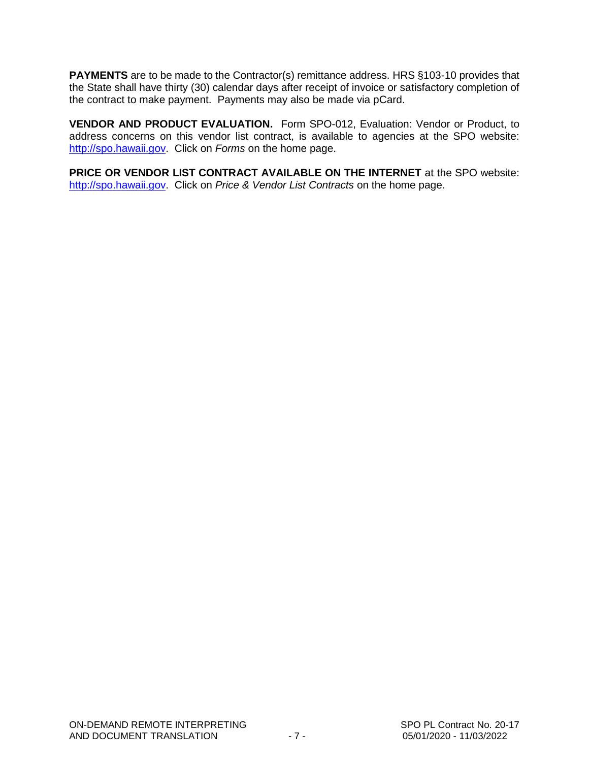**PAYMENTS** are to be made to the Contractor(s) remittance address. HRS §103-10 provides that the State shall have thirty (30) calendar days after receipt of invoice or satisfactory completion of the contract to make payment. Payments may also be made via pCard.

**VENDOR AND PRODUCT EVALUATION.** Form SPO-012, Evaluation: Vendor or Product, to address concerns on this vendor list contract, is available to agencies at the SPO website: [http://spo.hawaii.gov.](http://spo.hawaii.gov/) Click on *Forms* on the home page.

**PRICE OR VENDOR LIST CONTRACT AVAILABLE ON THE INTERNET** at the SPO website: [http://spo.hawaii.gov.](http://spo.hawaii.gov/) Click on *Price & Vendor List Contracts* on the home page.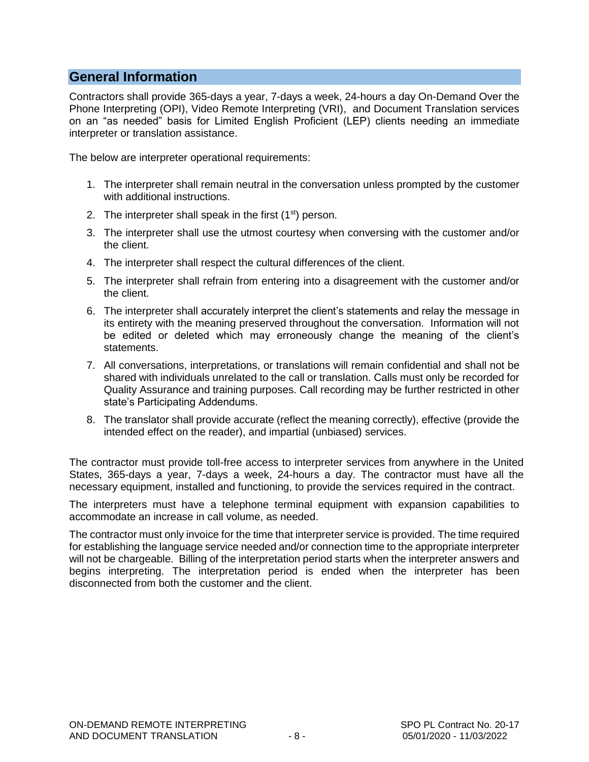## **General Information**

Contractors shall provide 365-days a year, 7-days a week, 24-hours a day On-Demand Over the Phone Interpreting (OPI), Video Remote Interpreting (VRI), and Document Translation services on an "as needed" basis for Limited English Proficient (LEP) clients needing an immediate interpreter or translation assistance.

The below are interpreter operational requirements:

- 1. The interpreter shall remain neutral in the conversation unless prompted by the customer with additional instructions.
- 2. The interpreter shall speak in the first  $(1<sup>st</sup>)$  person.
- 3. The interpreter shall use the utmost courtesy when conversing with the customer and/or the client.
- 4. The interpreter shall respect the cultural differences of the client.
- 5. The interpreter shall refrain from entering into a disagreement with the customer and/or the client.
- 6. The interpreter shall accurately interpret the client's statements and relay the message in its entirety with the meaning preserved throughout the conversation. Information will not be edited or deleted which may erroneously change the meaning of the client's statements.
- 7. All conversations, interpretations, or translations will remain confidential and shall not be shared with individuals unrelated to the call or translation. Calls must only be recorded for Quality Assurance and training purposes. Call recording may be further restricted in other state's Participating Addendums.
- 8. The translator shall provide accurate (reflect the meaning correctly), effective (provide the intended effect on the reader), and impartial (unbiased) services.

The contractor must provide toll-free access to interpreter services from anywhere in the United States, 365-days a year, 7-days a week, 24-hours a day. The contractor must have all the necessary equipment, installed and functioning, to provide the services required in the contract.

The interpreters must have a telephone terminal equipment with expansion capabilities to accommodate an increase in call volume, as needed.

The contractor must only invoice for the time that interpreter service is provided. The time required for establishing the language service needed and/or connection time to the appropriate interpreter will not be chargeable. Billing of the interpretation period starts when the interpreter answers and begins interpreting. The interpretation period is ended when the interpreter has been disconnected from both the customer and the client.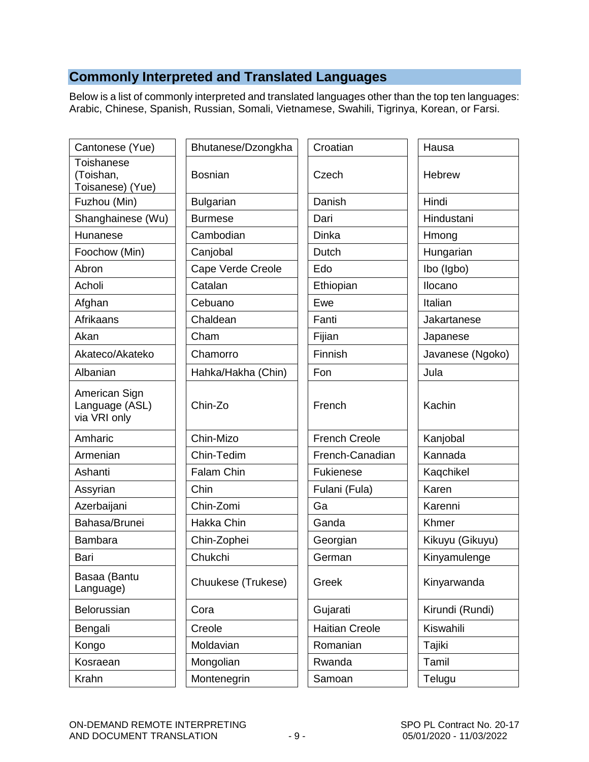# **Commonly Interpreted and Translated Languages**

Below is a list of commonly interpreted and translated languages other than the top ten languages: Arabic, Chinese, Spanish, Russian, Somali, Vietnamese, Swahili, Tigrinya, Korean, or Farsi.

| Cantonese (Yue)                                 | Bhutanese/Dzongkha | Croatian              | Hausa            |
|-------------------------------------------------|--------------------|-----------------------|------------------|
| Toishanese<br>(Toishan,<br>Toisanese) (Yue)     | <b>Bosnian</b>     | Czech                 | Hebrew           |
| Fuzhou (Min)                                    | <b>Bulgarian</b>   | Danish                | Hindi            |
| Shanghainese (Wu)                               | <b>Burmese</b>     | Dari                  | Hindustani       |
| Hunanese                                        | Cambodian          | Dinka                 | Hmong            |
| Foochow (Min)                                   | Canjobal           | Dutch                 | Hungarian        |
| Abron                                           | Cape Verde Creole  | Edo                   | Ibo (Igbo)       |
| Acholi                                          | Catalan            | Ethiopian             | Ilocano          |
| Afghan                                          | Cebuano            | Ewe                   | Italian          |
| Afrikaans                                       | Chaldean           | Fanti                 | Jakartanese      |
| Akan                                            | Cham               | Fijian                | Japanese         |
| Akateco/Akateko                                 | Chamorro           | Finnish               | Javanese (Ngoko) |
| Albanian                                        | Hahka/Hakha (Chin) | Fon                   | Jula             |
| American Sign<br>Language (ASL)<br>via VRI only | Chin-Zo            | French                | Kachin           |
| Amharic                                         | Chin-Mizo          | <b>French Creole</b>  | Kanjobal         |
| Armenian                                        | Chin-Tedim         | French-Canadian       | Kannada          |
| Ashanti                                         | Falam Chin         | Fukienese             | Kaqchikel        |
| Assyrian                                        | Chin               | Fulani (Fula)         | Karen            |
| Azerbaijani                                     | Chin-Zomi          | Ga                    | Karenni          |
| Bahasa/Brunei                                   | Hakka Chin         | Ganda                 | Khmer            |
| Bambara                                         | Chin-Zophei        | Georgian              | Kikuyu (Gikuyu)  |
| Bari                                            | Chukchi            | German                | Kinyamulenge     |
| Basaa (Bantu<br>Language)                       | Chuukese (Trukese) | Greek                 | Kinyarwanda      |
| Belorussian                                     | Cora               | Gujarati              | Kirundi (Rundi)  |
| Bengali                                         | Creole             | <b>Haitian Creole</b> | Kiswahili        |
| Kongo                                           | Moldavian          | Romanian              | Tajiki           |
| Kosraean                                        | Mongolian          | Rwanda                | Tamil            |
| Krahn                                           | Montenegrin        | Samoan                | Telugu           |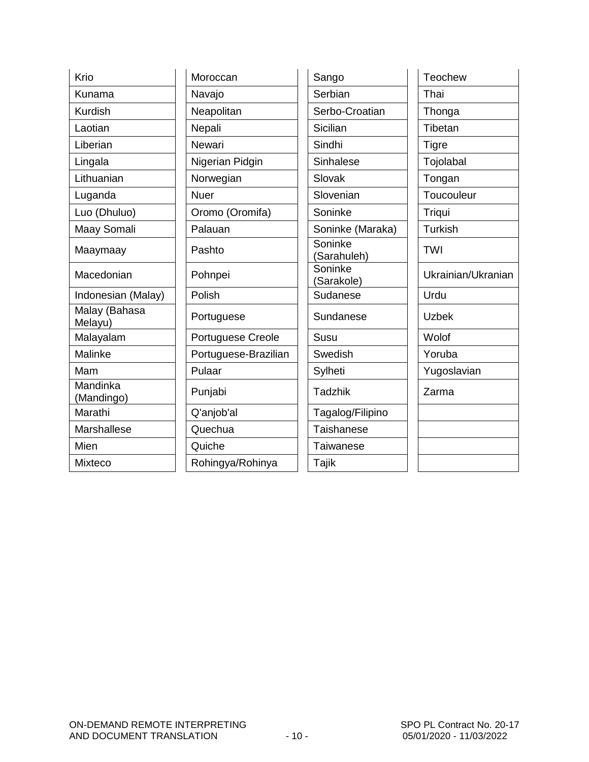| Krio                     | Moroccan             | Sango                  | Teochew            |
|--------------------------|----------------------|------------------------|--------------------|
| Kunama                   | Navajo               | Serbian                | Thai               |
| <b>Kurdish</b>           | Neapolitan           | Serbo-Croatian         | Thonga             |
| Laotian                  | Nepali               | Sicilian               | Tibetan            |
| Liberian                 | Newari               | Sindhi                 | <b>Tigre</b>       |
| Lingala                  | Nigerian Pidgin      | Sinhalese              | Tojolabal          |
| Lithuanian               | Norwegian            | Slovak                 | Tongan             |
| Luganda                  | <b>Nuer</b>          | Slovenian              | Toucouleur         |
| Luo (Dhuluo)             | Oromo (Oromifa)      | Soninke                | Triqui             |
| Maay Somali              | Palauan              | Soninke (Maraka)       | <b>Turkish</b>     |
| Maaymaay                 | Pashto               | Soninke<br>(Sarahuleh) | <b>TWI</b>         |
| Macedonian               | Pohnpei              | Soninke<br>(Sarakole)  | Ukrainian/Ukranian |
| Indonesian (Malay)       | Polish               | Sudanese               | Urdu               |
| Malay (Bahasa<br>Melayu) | Portuguese           | Sundanese              | <b>Uzbek</b>       |
| Malayalam                | Portuguese Creole    | Susu                   | Wolof              |
| Malinke                  | Portuguese-Brazilian | Swedish                | Yoruba             |
| Mam                      | Pulaar               | Sylheti                | Yugoslavian        |
| Mandinka<br>(Mandingo)   | Punjabi              | <b>Tadzhik</b>         | Zarma              |
| Marathi                  | Q'anjob'al           | Tagalog/Filipino       |                    |
| Marshallese              | Quechua              | Taishanese             |                    |
| Mien                     | Quiche               | <b>Taiwanese</b>       |                    |
| Mixteco                  | Rohingya/Rohinya     | Tajik                  |                    |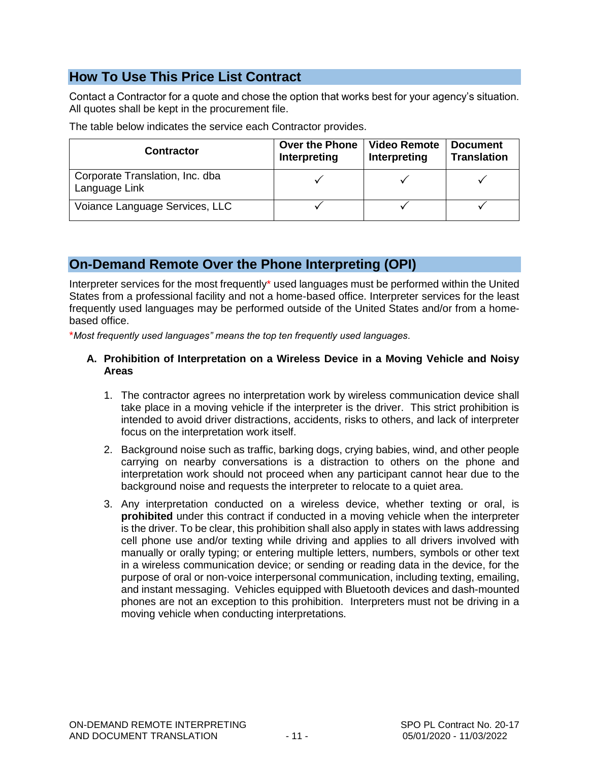## **How To Use This Price List Contract**

Contact a Contractor for a quote and chose the option that works best for your agency's situation. All quotes shall be kept in the procurement file.

The table below indicates the service each Contractor provides.

| <b>Contractor</b>                                | <b>Over the Phone</b><br>Interpreting | <b>Video Remote</b><br>Interpreting | <b>Document</b><br><b>Translation</b> |
|--------------------------------------------------|---------------------------------------|-------------------------------------|---------------------------------------|
| Corporate Translation, Inc. dba<br>Language Link |                                       |                                     |                                       |
| Voiance Language Services, LLC                   |                                       |                                     |                                       |

## **On-Demand Remote Over the Phone Interpreting (OPI)**

Interpreter services for the most frequently\* used languages must be performed within the United States from a professional facility and not a home-based office. Interpreter services for the least frequently used languages may be performed outside of the United States and/or from a homebased office.

\**Most frequently used languages" means the top ten frequently used languages.*

#### **A. Prohibition of Interpretation on a Wireless Device in a Moving Vehicle and Noisy Areas**

- 1. The contractor agrees no interpretation work by wireless communication device shall take place in a moving vehicle if the interpreter is the driver. This strict prohibition is intended to avoid driver distractions, accidents, risks to others, and lack of interpreter focus on the interpretation work itself.
- 2. Background noise such as traffic, barking dogs, crying babies, wind, and other people carrying on nearby conversations is a distraction to others on the phone and interpretation work should not proceed when any participant cannot hear due to the background noise and requests the interpreter to relocate to a quiet area.
- 3. Any interpretation conducted on a wireless device, whether texting or oral, is **prohibited** under this contract if conducted in a moving vehicle when the interpreter is the driver. To be clear, this prohibition shall also apply in states with laws addressing cell phone use and/or texting while driving and applies to all drivers involved with manually or orally typing; or entering multiple letters, numbers, symbols or other text in a wireless communication device; or sending or reading data in the device, for the purpose of oral or non-voice interpersonal communication, including texting, emailing, and instant messaging. Vehicles equipped with Bluetooth devices and dash-mounted phones are not an exception to this prohibition. Interpreters must not be driving in a moving vehicle when conducting interpretations.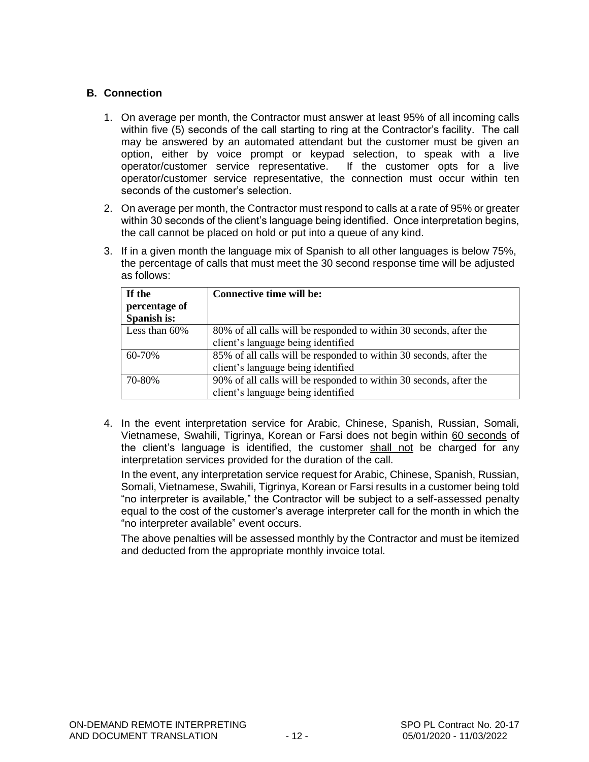#### **B. Connection**

- 1. On average per month, the Contractor must answer at least 95% of all incoming calls within five (5) seconds of the call starting to ring at the Contractor's facility. The call may be answered by an automated attendant but the customer must be given an option, either by voice prompt or keypad selection, to speak with a live operator/customer service representative. If the customer opts for a live operator/customer service representative, the connection must occur within ten seconds of the customer's selection.
- 2. On average per month, the Contractor must respond to calls at a rate of 95% or greater within 30 seconds of the client's language being identified. Once interpretation begins, the call cannot be placed on hold or put into a queue of any kind.
- 3. If in a given month the language mix of Spanish to all other languages is below 75%, the percentage of calls that must meet the 30 second response time will be adjusted as follows:

| If the           | <b>Connective time will be:</b>                                    |
|------------------|--------------------------------------------------------------------|
| percentage of    |                                                                    |
| Spanish is:      |                                                                    |
| Less than $60\%$ | 80% of all calls will be responded to within 30 seconds, after the |
|                  | client's language being identified                                 |
| 60-70%           | 85% of all calls will be responded to within 30 seconds, after the |
|                  | client's language being identified                                 |
| 70-80%           | 90% of all calls will be responded to within 30 seconds, after the |
|                  | client's language being identified                                 |

4. In the event interpretation service for Arabic, Chinese, Spanish, Russian, Somali, Vietnamese, Swahili, Tigrinya, Korean or Farsi does not begin within 60 seconds of the client's language is identified, the customer shall not be charged for any interpretation services provided for the duration of the call.

In the event, any interpretation service request for Arabic, Chinese, Spanish, Russian, Somali, Vietnamese, Swahili, Tigrinya, Korean or Farsi results in a customer being told "no interpreter is available," the Contractor will be subject to a self-assessed penalty equal to the cost of the customer's average interpreter call for the month in which the "no interpreter available" event occurs.

The above penalties will be assessed monthly by the Contractor and must be itemized and deducted from the appropriate monthly invoice total.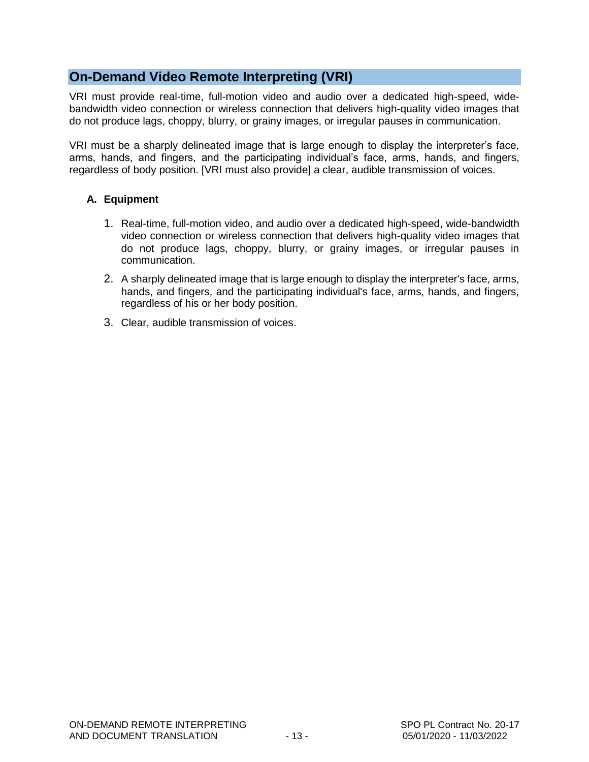## **On-Demand Video Remote Interpreting (VRI)**

VRI must provide real-time, full-motion video and audio over a dedicated high-speed, widebandwidth video connection or wireless connection that delivers high-quality video images that do not produce lags, choppy, blurry, or grainy images, or irregular pauses in communication.

VRI must be a sharply delineated image that is large enough to display the interpreter's face, arms, hands, and fingers, and the participating individual's face, arms, hands, and fingers, regardless of body position. [VRI must also provide] a clear, audible transmission of voices.

#### **A. Equipment**

- 1. Real-time, full-motion video, and audio over a dedicated high-speed, wide-bandwidth video connection or wireless connection that delivers high-quality video images that do not produce lags, choppy, blurry, or grainy images, or irregular pauses in communication.
- 2. A sharply delineated image that is large enough to display the interpreter's face, arms, hands, and fingers, and the participating individual's face, arms, hands, and fingers, regardless of his or her body position.
- 3. Clear, audible transmission of voices.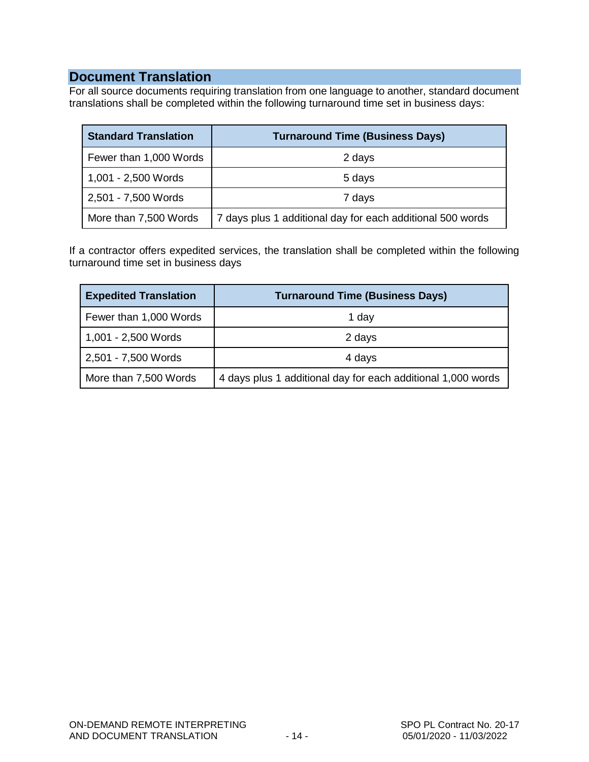### **Document Translation**

For all source documents requiring translation from one language to another, standard document translations shall be completed within the following turnaround time set in business days:

| <b>Standard Translation</b> | <b>Turnaround Time (Business Days)</b>                     |
|-----------------------------|------------------------------------------------------------|
| Fewer than 1,000 Words      | 2 days                                                     |
| 1,001 - 2,500 Words         | 5 days                                                     |
| 2,501 - 7,500 Words         | 7 days                                                     |
| More than 7,500 Words       | 7 days plus 1 additional day for each additional 500 words |

If a contractor offers expedited services, the translation shall be completed within the following turnaround time set in business days

| <b>Expedited Translation</b> | <b>Turnaround Time (Business Days)</b>                       |
|------------------------------|--------------------------------------------------------------|
| Fewer than 1,000 Words       | 1 day                                                        |
| 1,001 - 2,500 Words          | 2 days                                                       |
| 2,501 - 7,500 Words          | 4 days                                                       |
| More than 7,500 Words        | 4 days plus 1 additional day for each additional 1,000 words |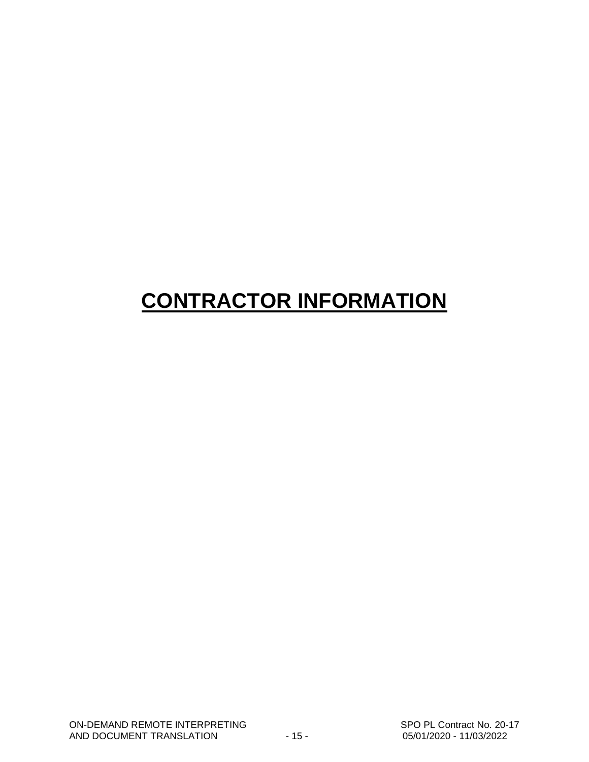# **CONTRACTOR INFORMATION**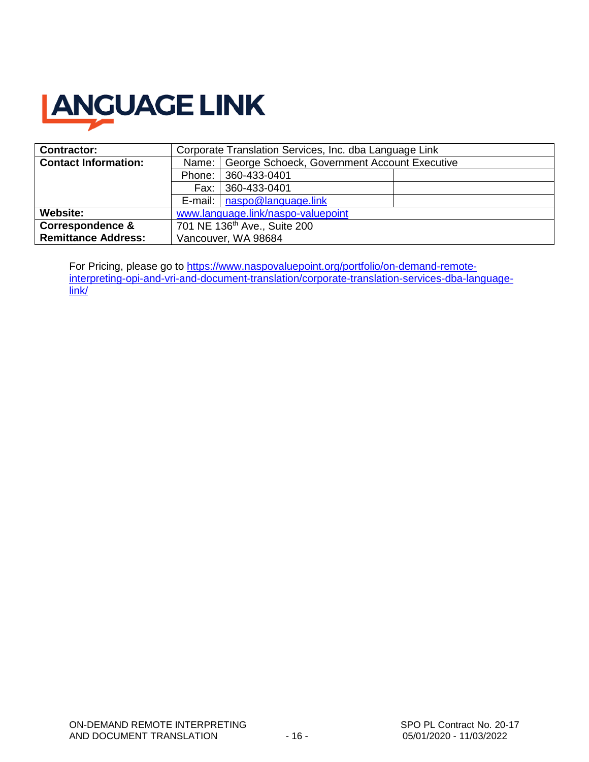

| <b>Contractor:</b>          | Corporate Translation Services, Inc. dba Language Link |                                                      |  |  |
|-----------------------------|--------------------------------------------------------|------------------------------------------------------|--|--|
| <b>Contact Information:</b> |                                                        | Name:   George Schoeck, Government Account Executive |  |  |
|                             |                                                        | Phone: 360-433-0401                                  |  |  |
|                             |                                                        | 360-433-0401<br>Fax:                                 |  |  |
|                             |                                                        | E-mail:   naspo@language.link                        |  |  |
| Website:                    | www.language.link/naspo-valuepoint                     |                                                      |  |  |
| <b>Correspondence &amp;</b> | 701 NE 136 <sup>th</sup> Ave., Suite 200               |                                                      |  |  |
| <b>Remittance Address:</b>  | Vancouver, WA 98684                                    |                                                      |  |  |

For Pricing, please go to [https://www.naspovaluepoint.org/portfolio/on-demand-remote](https://www.naspovaluepoint.org/portfolio/on-demand-remote-interpreting-opi-and-vri-and-document-translation/corporate-translation-services-dba-language-link/)[interpreting-opi-and-vri-and-document-translation/corporate-translation-services-dba-language](https://www.naspovaluepoint.org/portfolio/on-demand-remote-interpreting-opi-and-vri-and-document-translation/corporate-translation-services-dba-language-link/)[link/](https://www.naspovaluepoint.org/portfolio/on-demand-remote-interpreting-opi-and-vri-and-document-translation/corporate-translation-services-dba-language-link/)